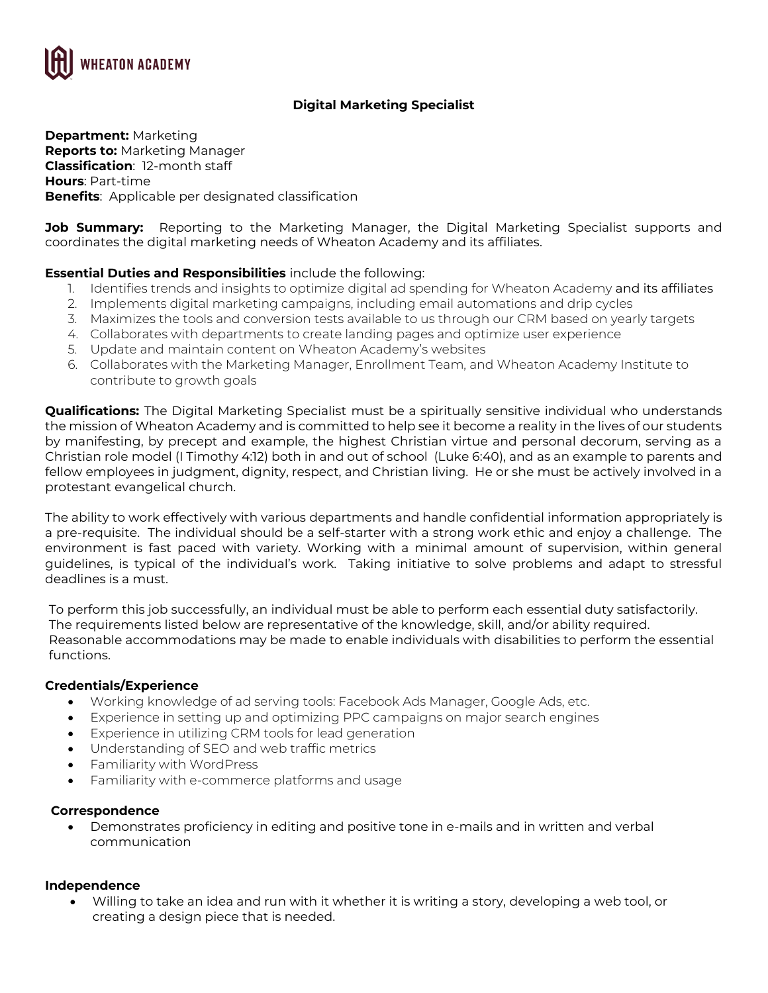

# **Digital Marketing Specialist**

**Department:** Marketing **Reports to:** Marketing Manager **Classification**: 12-month staff **Hours**: Part-time **Benefits**: Applicable per designated classification

**Job Summary:** Reporting to the Marketing Manager, the Digital Marketing Specialist supports and coordinates the digital marketing needs of Wheaton Academy and its affiliates.

### **Essential Duties and Responsibilities** include the following:

- 1. Identifies trends and insights to optimize digital ad spending for Wheaton Academy and its affiliates
- 2. Implements digital marketing campaigns, including email automations and drip cycles
- 3. Maximizes the tools and conversion tests available to us through our CRM based on yearly targets
- 4. Collaborates with departments to create landing pages and optimize user experience
- 5. Update and maintain content on Wheaton Academy's websites
- 6. Collaborates with the Marketing Manager, Enrollment Team, and Wheaton Academy Institute to contribute to growth goals

**Qualifications:** The Digital Marketing Specialist must be a spiritually sensitive individual who understands the mission of Wheaton Academy and is committed to help see it become a reality in the lives of our students by manifesting, by precept and example, the highest Christian virtue and personal decorum, serving as a Christian role model (I Timothy 4:12) both in and out of school (Luke 6:40), and as an example to parents and fellow employees in judgment, dignity, respect, and Christian living. He or she must be actively involved in a protestant evangelical church.

The ability to work effectively with various departments and handle confidential information appropriately is a pre-requisite. The individual should be a self-starter with a strong work ethic and enjoy a challenge. The environment is fast paced with variety. Working with a minimal amount of supervision, within general guidelines, is typical of the individual's work. Taking initiative to solve problems and adapt to stressful deadlines is a must.

To perform this job successfully, an individual must be able to perform each essential duty satisfactorily. The requirements listed below are representative of the knowledge, skill, and/or ability required. Reasonable accommodations may be made to enable individuals with disabilities to perform the essential functions.

### **Credentials/Experience**

- Working knowledge of ad serving tools: Facebook Ads Manager, Google Ads, etc.
- Experience in setting up and optimizing PPC campaigns on major search engines
- Experience in utilizing CRM tools for lead generation
- Understanding of SEO and web traffic metrics
- Familiarity with WordPress
- Familiarity with e-commerce platforms and usage

#### **Correspondence**

• Demonstrates proficiency in editing and positive tone in e-mails and in written and verbal communication

#### **Independence**

• Willing to take an idea and run with it whether it is writing a story, developing a web tool, or creating a design piece that is needed.